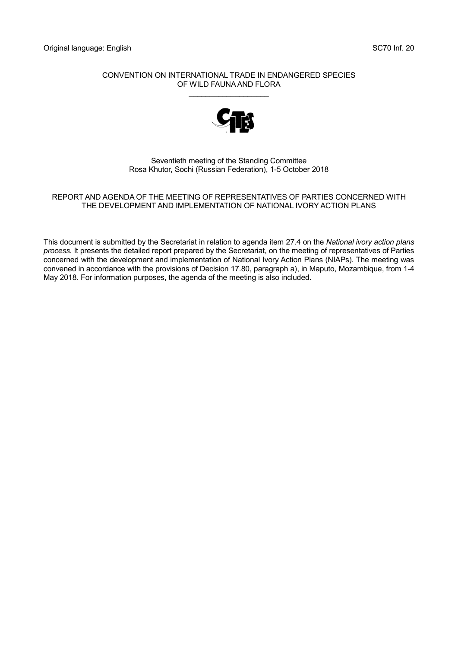#### CONVENTION ON INTERNATIONAL TRADE IN ENDANGERED SPECIES OF WILD FAUNA AND FLORA \_\_\_\_\_\_\_\_\_\_\_\_\_\_\_\_\_\_\_



#### Seventieth meeting of the Standing Committee Rosa Khutor, Sochi (Russian Federation), 1-5 October 2018

#### REPORT AND AGENDA OF THE MEETING OF REPRESENTATIVES OF PARTIES CONCERNED WITH THE DEVELOPMENT AND IMPLEMENTATION OF NATIONAL IVORY ACTION PLANS

This document is submitted by the Secretariat in relation to agenda item 27.4 on the *National ivory action plans process.* It presents the detailed report prepared by the Secretariat, on the meeting of representatives of Parties concerned with the development and implementation of National Ivory Action Plans (NIAPs). The meeting was convened in accordance with the provisions of Decision 17.80, paragraph a), in Maputo, Mozambique, from 1-4 May 2018. For information purposes, the agenda of the meeting is also included.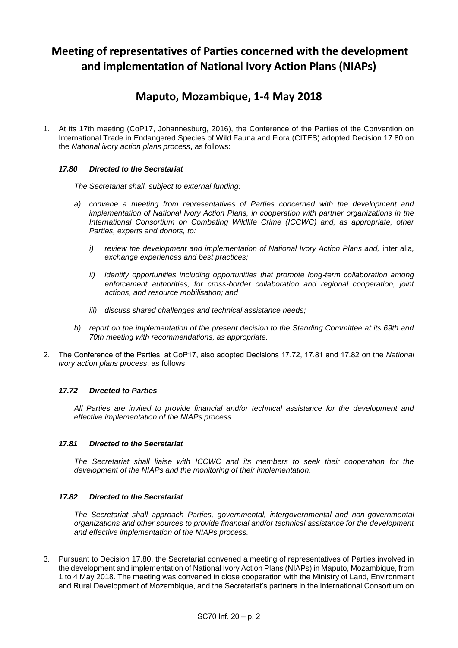# **Meeting of representatives of Parties concerned with the development and implementation of National Ivory Action Plans (NIAPs)**

## **Maputo, Mozambique, 1-4 May 2018**

1. At its 17th meeting (CoP17, Johannesburg, 2016), the Conference of the Parties of the Convention on International Trade in Endangered Species of Wild Fauna and Flora (CITES) adopted Decision 17.80 on the *National ivory action plans process*, as follows:

#### *17.80 Directed to the Secretariat*

*The Secretariat shall, subject to external funding:*

- *a) convene a meeting from representatives of Parties concerned with the development and implementation of National Ivory Action Plans, in cooperation with partner organizations in the International Consortium on Combating Wildlife Crime (ICCWC) and, as appropriate, other Parties, experts and donors, to:*
	- *i*) review the development and implementation of National Ivory Action Plans and, inter alia, *exchange experiences and best practices;*
	- *ii) identify opportunities including opportunities that promote long-term collaboration among enforcement authorities, for cross-border collaboration and regional cooperation, joint actions, and resource mobilisation; and*
	- *iii) discuss shared challenges and technical assistance needs;*
- *b) report on the implementation of the present decision to the Standing Committee at its 69th and 70th meeting with recommendations, as appropriate.*
- 2. The Conference of the Parties, at CoP17, also adopted Decisions 17.72, 17.81 and 17.82 on the *National ivory action plans process*, as follows:

#### *17.72 Directed to Parties*

*All Parties are invited to provide financial and/or technical assistance for the development and effective implementation of the NIAPs process.*

#### *17.81 Directed to the Secretariat*

*The Secretariat shall liaise with ICCWC and its members to seek their cooperation for the development of the NIAPs and the monitoring of their implementation.*

#### *17.82 Directed to the Secretariat*

*The Secretariat shall approach Parties, governmental, intergovernmental and non-governmental organizations and other sources to provide financial and/or technical assistance for the development and effective implementation of the NIAPs process.*

3. Pursuant to Decision 17.80, the Secretariat convened a meeting of representatives of Parties involved in the development and implementation of National Ivory Action Plans (NIAPs) in Maputo, Mozambique, from 1 to 4 May 2018. The meeting was convened in close cooperation with the Ministry of Land, Environment and Rural Development of Mozambique, and the Secretariat's partners in the International Consortium on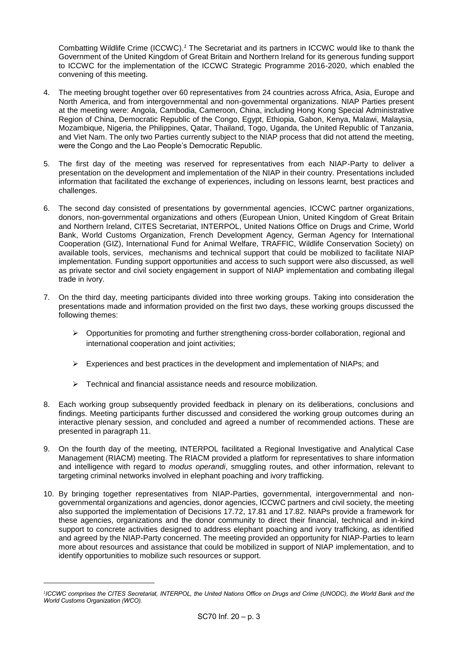Combatting Wildlife Crime (ICCWC).*<sup>1</sup>* The Secretariat and its partners in ICCWC would like to thank the Government of the United Kingdom of Great Britain and Northern Ireland for its generous funding support to ICCWC for the implementation of the ICCWC Strategic Programme 2016-2020, which enabled the convening of this meeting.

- 4. The meeting brought together over 60 representatives from 24 countries across Africa, Asia, Europe and North America, and from intergovernmental and non-governmental organizations. NIAP Parties present at the meeting were: Angola, Cambodia, Cameroon, China, including Hong Kong Special Administrative Region of China, Democratic Republic of the Congo, Egypt, Ethiopia, Gabon, Kenya, Malawi, Malaysia, Mozambique, Nigeria, the Philippines, Qatar, Thailand, Togo, Uganda, the United Republic of Tanzania, and Viet Nam. The only two Parties currently subject to the NIAP process that did not attend the meeting, were the Congo and the Lao People's Democratic Republic.
- 5. The first day of the meeting was reserved for representatives from each NIAP-Party to deliver a presentation on the development and implementation of the NIAP in their country. Presentations included information that facilitated the exchange of experiences, including on lessons learnt, best practices and challenges.
- 6. The second day consisted of presentations by governmental agencies, ICCWC partner organizations, donors, non-governmental organizations and others (European Union, United Kingdom of Great Britain and Northern Ireland, CITES Secretariat, INTERPOL, United Nations Office on Drugs and Crime, World Bank, World Customs Organization, French Development Agency, German Agency for International Cooperation (GIZ), International Fund for Animal Welfare, TRAFFIC, Wildlife Conservation Society) on available tools, services, mechanisms and technical support that could be mobilized to facilitate NIAP implementation. Funding support opportunities and access to such support were also discussed, as well as private sector and civil society engagement in support of NIAP implementation and combating illegal trade in ivory.
- 7. On the third day, meeting participants divided into three working groups. Taking into consideration the presentations made and information provided on the first two days, these working groups discussed the following themes:
	- $\triangleright$  Opportunities for promoting and further strengthening cross-border collaboration, regional and international cooperation and joint activities;
	- $\triangleright$  Experiences and best practices in the development and implementation of NIAPs; and
	- $\triangleright$  Technical and financial assistance needs and resource mobilization.
- 8. Each working group subsequently provided feedback in plenary on its deliberations, conclusions and findings. Meeting participants further discussed and considered the working group outcomes during an interactive plenary session, and concluded and agreed a number of recommended actions. These are presented in paragraph 11.
- 9. On the fourth day of the meeting, INTERPOL facilitated a Regional Investigative and Analytical Case Management (RIACM) meeting. The RIACM provided a platform for representatives to share information and intelligence with regard to *modus operandi*, smuggling routes, and other information, relevant to targeting criminal networks involved in elephant poaching and ivory trafficking.
- 10. By bringing together representatives from NIAP-Parties, governmental, intergovernmental and nongovernmental organizations and agencies, donor agencies, ICCWC partners and civil society, the meeting also supported the implementation of Decisions 17.72, 17.81 and 17.82. NIAPs provide a framework for these agencies, organizations and the donor community to direct their financial, technical and in-kind support to concrete activities designed to address elephant poaching and ivory trafficking, as identified and agreed by the NIAP-Party concerned. The meeting provided an opportunity for NIAP-Parties to learn more about resources and assistance that could be mobilized in support of NIAP implementation, and to identify opportunities to mobilize such resources or support.

-

*<sup>1</sup> ICCWC comprises the CITES Secretariat, [INTERPOL,](http://www.interpol.int/) th[e United Nations Office on Drugs and Crime \(UNODC\),](http://www.unodc.org/) th[e World Bank](http://www.worldbank.org/) and the [World Customs Organization \(WCO\).](http://www.wcoomd.org/)*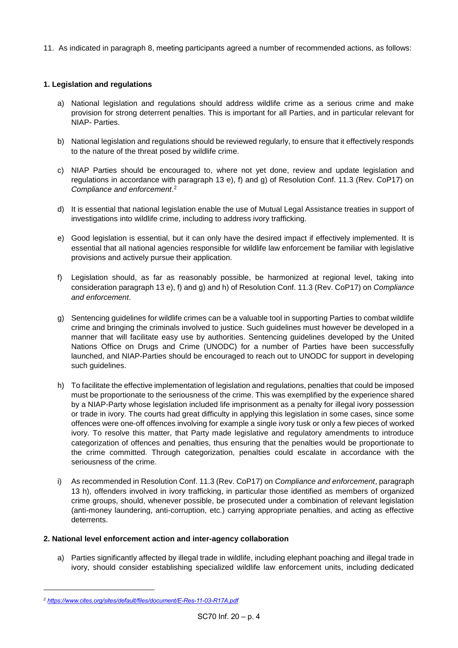11. As indicated in paragraph 8, meeting participants agreed a number of recommended actions, as follows:

### **1. Legislation and regulations**

- a) National legislation and regulations should address wildlife crime as a serious crime and make provision for strong deterrent penalties. This is important for all Parties, and in particular relevant for NIAP- Parties.
- b) National legislation and regulations should be reviewed regularly, to ensure that it effectively responds to the nature of the threat posed by wildlife crime.
- c) NIAP Parties should be encouraged to, where not yet done, review and update legislation and regulations in accordance with paragraph 13 e), f) and g) of Resolution Conf. 11.3 (Rev. CoP17) on *Compliance and enforcement*. 2
- d) It is essential that national legislation enable the use of Mutual Legal Assistance treaties in support of investigations into wildlife crime, including to address ivory trafficking.
- e) Good legislation is essential, but it can only have the desired impact if effectively implemented. It is essential that all national agencies responsible for wildlife law enforcement be familiar with legislative provisions and actively pursue their application.
- f) Legislation should, as far as reasonably possible, be harmonized at regional level, taking into consideration paragraph 13 e), f) and g) and h) of Resolution Conf. 11.3 (Rev. CoP17) on *Compliance and enforcement*.
- g) Sentencing guidelines for wildlife crimes can be a valuable tool in supporting Parties to combat wildlife crime and bringing the criminals involved to justice. Such guidelines must however be developed in a manner that will facilitate easy use by authorities. Sentencing guidelines developed by the United Nations Office on Drugs and Crime (UNODC) for a number of Parties have been successfully launched, and NIAP-Parties should be encouraged to reach out to UNODC for support in developing such guidelines.
- h) To facilitate the effective implementation of legislation and regulations, penalties that could be imposed must be proportionate to the seriousness of the crime. This was exemplified by the experience shared by a NIAP-Party whose legislation included life imprisonment as a penalty for illegal ivory possession or trade in ivory. The courts had great difficulty in applying this legislation in some cases, since some offences were one-off offences involving for example a single ivory tusk or only a few pieces of worked ivory. To resolve this matter, that Party made legislative and regulatory amendments to introduce categorization of offences and penalties, thus ensuring that the penalties would be proportionate to the crime committed. Through categorization, penalties could escalate in accordance with the seriousness of the crime.
- i) As recommended in Resolution Conf. 11.3 (Rev. CoP17) on *Compliance and enforcement*, paragraph 13 h), offenders involved in ivory trafficking, in particular those identified as members of organized crime groups, should, whenever possible, be prosecuted under a combination of relevant legislation (anti-money laundering, anti-corruption, etc.) carrying appropriate penalties, and acting as effective deterrents.

### **2. National level enforcement action and inter-agency collaboration**

a) Parties significantly affected by illegal trade in wildlife, including elephant poaching and illegal trade in ivory, should consider establishing specialized wildlife law enforcement units, including dedicated

*<sup>2</sup> <https://www.cites.org/sites/default/files/document/E-Res-11-03-R17A.pdf>*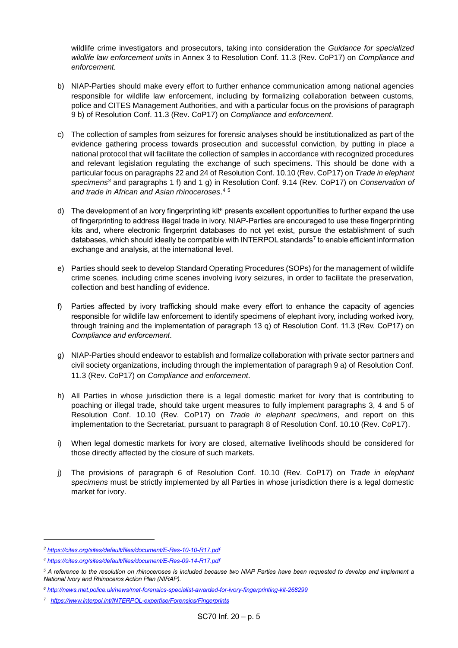wildlife crime investigators and prosecutors, taking into consideration the *Guidance for specialized wildlife law enforcement units* in Annex 3 to Resolution Conf. 11.3 (Rev. CoP17) on *Compliance and enforcement.*

- b) NIAP-Parties should make every effort to further enhance communication among national agencies responsible for wildlife law enforcement, including by formalizing collaboration between customs, police and CITES Management Authorities, and with a particular focus on the provisions of paragraph 9 b) of Resolution Conf. 11.3 (Rev. CoP17) on *Compliance and enforcement*.
- c) The collection of samples from seizures for forensic analyses should be institutionalized as part of the evidence gathering process towards prosecution and successful conviction, by putting in place a national protocol that will facilitate the collection of samples in accordance with recognized procedures and relevant legislation regulating the exchange of such specimens. This should be done with a particular focus on paragraphs 22 and 24 of Resolution Conf. 10.10 (Rev. CoP17) on *Trade in elephant specimens<sup>3</sup>* and paragraphs 1 f) and 1 g) in Resolution Conf. 9.14 (Rev. CoP17) on *Conservation of and trade in African and Asian rhinoceroses*. 4 5
- d) The development of an ivory fingerprinting kit $6$  presents excellent opportunities to further expand the use of fingerprinting to address illegal trade in ivory. NIAP-Parties are encouraged to use these fingerprinting kits and, where electronic fingerprint databases do not yet exist, pursue the establishment of such databases, which should ideally be compatible with INTERPOL standards<sup>7</sup> to enable efficient information exchange and analysis, at the international level.
- e) Parties should seek to develop Standard Operating Procedures (SOPs) for the management of wildlife crime scenes, including crime scenes involving ivory seizures, in order to facilitate the preservation, collection and best handling of evidence.
- f) Parties affected by ivory trafficking should make every effort to enhance the capacity of agencies responsible for wildlife law enforcement to identify specimens of elephant ivory, including worked ivory, through training and the implementation of paragraph 13 q) of Resolution Conf. 11.3 (Rev. CoP17) on *Compliance and enforcement*.
- g) NIAP-Parties should endeavor to establish and formalize collaboration with private sector partners and civil society organizations, including through the implementation of paragraph 9 a) of Resolution Conf. 11.3 (Rev. CoP17) on *Compliance and enforcement*.
- h) All Parties in whose jurisdiction there is a legal domestic market for ivory that is contributing to poaching or illegal trade, should take urgent measures to fully implement paragraphs 3, 4 and 5 of Resolution Conf. 10.10 (Rev. CoP17) on *Trade in elephant specimens*, and report on this implementation to the Secretariat, pursuant to paragraph 8 of Resolution Conf. 10.10 (Rev. CoP17).
- i) When legal domestic markets for ivory are closed, alternative livelihoods should be considered for those directly affected by the closure of such markets.
- j) The provisions of paragraph 6 of Resolution Conf. 10.10 (Rev. CoP17) on *Trade in elephant specimens* must be strictly implemented by all Parties in whose jurisdiction there is a legal domestic market for ivory.

*<sup>3</sup> <https://cites.org/sites/default/files/document/E-Res-10-10-R17.pdf>*

*<sup>4</sup> <https://cites.org/sites/default/files/document/E-Res-09-14-R17.pdf>*

*<sup>5</sup> A reference to the resolution on rhinoceroses is included because two NIAP Parties have been requested to develop and implement a National Ivory and Rhinoceros Action Plan (NIRAP).*

*<sup>6</sup> <http://news.met.police.uk/news/met-forensics-specialist-awarded-for-ivory-fingerprinting-kit-268299>*

*<sup>7</sup> <https://www.interpol.int/INTERPOL-expertise/Forensics/Fingerprints>*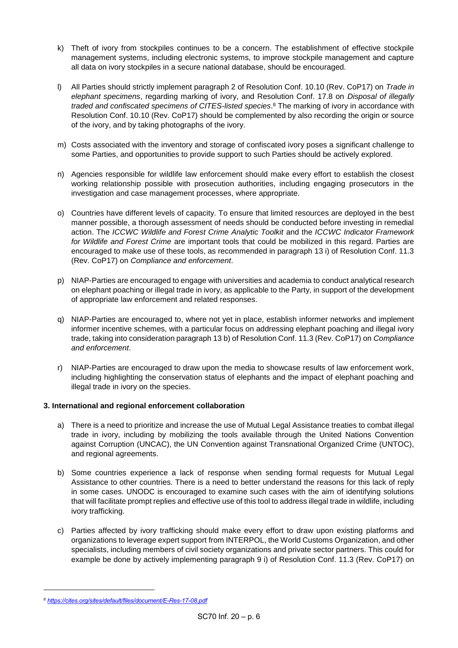- k) Theft of ivory from stockpiles continues to be a concern. The establishment of effective stockpile management systems, including electronic systems, to improve stockpile management and capture all data on ivory stockpiles in a secure national database, should be encouraged.
- l) All Parties should strictly implement paragraph 2 of Resolution Conf. 10.10 (Rev. CoP17) on *Trade in elephant specimens*, regarding marking of ivory, and Resolution Conf. 17.8 on *Disposal of illegally traded and confiscated specimens of CITES-listed species*. <sup>8</sup> The marking of ivory in accordance with Resolution Conf. 10.10 (Rev. CoP17) should be complemented by also recording the origin or source of the ivory, and by taking photographs of the ivory.
- m) Costs associated with the inventory and storage of confiscated ivory poses a significant challenge to some Parties, and opportunities to provide support to such Parties should be actively explored.
- n) Agencies responsible for wildlife law enforcement should make every effort to establish the closest working relationship possible with prosecution authorities, including engaging prosecutors in the investigation and case management processes, where appropriate.
- o) Countries have different levels of capacity. To ensure that limited resources are deployed in the best manner possible, a thorough assessment of needs should be conducted before investing in remedial action. The *ICCWC Wildlife and Forest Crime Analytic Toolkit* and the *ICCWC Indicator Framework for Wildlife and Forest Crime* are important tools that could be mobilized in this regard. Parties are encouraged to make use of these tools, as recommended in paragraph 13 i) of Resolution Conf. 11.3 (Rev. CoP17) on *Compliance and enforcement*.
- p) NIAP-Parties are encouraged to engage with universities and academia to conduct analytical research on elephant poaching or illegal trade in ivory, as applicable to the Party, in support of the development of appropriate law enforcement and related responses.
- q) NIAP-Parties are encouraged to, where not yet in place, establish informer networks and implement informer incentive schemes, with a particular focus on addressing elephant poaching and illegal ivory trade, taking into consideration paragraph 13 b) of Resolution Conf. 11.3 (Rev. CoP17) on *Compliance and enforcement*.
- r) NIAP-Parties are encouraged to draw upon the media to showcase results of law enforcement work, including highlighting the conservation status of elephants and the impact of elephant poaching and illegal trade in ivory on the species.

#### **3. International and regional enforcement collaboration**

- a) There is a need to prioritize and increase the use of Mutual Legal Assistance treaties to combat illegal trade in ivory, including by mobilizing the tools available through the United Nations Convention against Corruption (UNCAC), the UN Convention against Transnational Organized Crime (UNTOC), and regional agreements.
- b) Some countries experience a lack of response when sending formal requests for Mutual Legal Assistance to other countries. There is a need to better understand the reasons for this lack of reply in some cases. UNODC is encouraged to examine such cases with the aim of identifying solutions that will facilitate prompt replies and effective use of this tool to address illegal trade in wildlife, including ivory trafficking.
- c) Parties affected by ivory trafficking should make every effort to draw upon existing platforms and organizations to leverage expert support from INTERPOL, the World Customs Organization, and other specialists, including members of civil society organizations and private sector partners. This could for example be done by actively implementing paragraph 9 i) of Resolution Conf. 11.3 (Rev. CoP17) on

*<sup>8</sup> <https://cites.org/sites/default/files/document/E-Res-17-08.pdf>*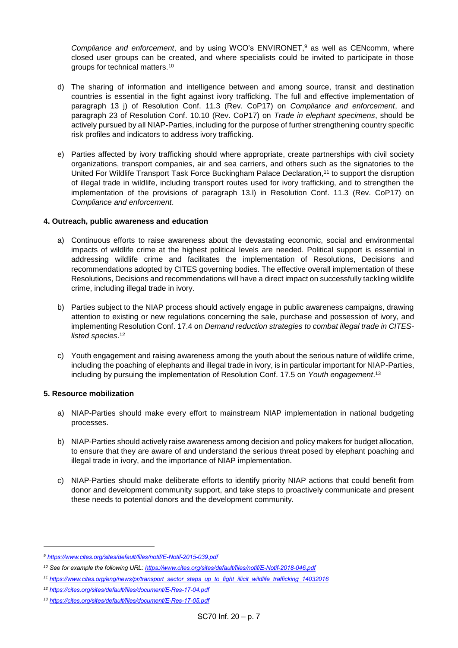*Compliance and enforcement*, and by using WCO's ENVIRONET,<sup>9</sup> as well as CENcomm, where closed user groups can be created, and where specialists could be invited to participate in those groups for technical matters.<sup>10</sup>

- d) The sharing of information and intelligence between and among source, transit and destination countries is essential in the fight against ivory trafficking. The full and effective implementation of paragraph 13 j) of Resolution Conf. 11.3 (Rev. CoP17) on *Compliance and enforcement*, and paragraph 23 of Resolution Conf. 10.10 (Rev. CoP17) on *Trade in elephant specimens*, should be actively pursued by all NIAP-Parties, including for the purpose of further strengthening country specific risk profiles and indicators to address ivory trafficking.
- e) Parties affected by ivory trafficking should where appropriate, create partnerships with civil society organizations, transport companies, air and sea carriers, and others such as the signatories to the United For Wildlife Transport Task Force Buckingham Palace Declaration,<sup>11</sup> to support the disruption of illegal trade in wildlife, including transport routes used for ivory trafficking, and to strengthen the implementation of the provisions of paragraph 13.l) in Resolution Conf. 11.3 (Rev. CoP17) on *Compliance and enforcement*.

#### **4. Outreach, public awareness and education**

- a) Continuous efforts to raise awareness about the devastating economic, social and environmental impacts of wildlife crime at the highest political levels are needed. Political support is essential in addressing wildlife crime and facilitates the implementation of Resolutions, Decisions and recommendations adopted by CITES governing bodies. The effective overall implementation of these Resolutions, Decisions and recommendations will have a direct impact on successfully tackling wildlife crime, including illegal trade in ivory.
- b) Parties subject to the NIAP process should actively engage in public awareness campaigns, drawing attention to existing or new regulations concerning the sale, purchase and possession of ivory, and implementing Resolution Conf. 17.4 on *Demand reduction strategies to combat illegal trade in CITESlisted species*. 12
- c) Youth engagement and raising awareness among the youth about the serious nature of wildlife crime, including the poaching of elephants and illegal trade in ivory, is in particular important for NIAP-Parties, including by pursuing the implementation of Resolution Conf. 17.5 on *Youth engagement*. 13

### **5. Resource mobilization**

-

- a) NIAP-Parties should make every effort to mainstream NIAP implementation in national budgeting processes.
- b) NIAP-Parties should actively raise awareness among decision and policy makers for budget allocation, to ensure that they are aware of and understand the serious threat posed by elephant poaching and illegal trade in ivory, and the importance of NIAP implementation.
- c) NIAP-Parties should make deliberate efforts to identify priority NIAP actions that could benefit from donor and development community support, and take steps to proactively communicate and present these needs to potential donors and the development community.

*<sup>9</sup> <https://www.cites.org/sites/default/files/notif/E-Notif-2015-039.pdf>*

*<sup>10</sup> See for example the following URL[: https://www.cites.org/sites/default/files/notif/E-Notif-2018-046.pdf](https://www.cites.org/sites/default/files/notif/E-Notif-2018-046.pdf)*

*<sup>11</sup> [https://www.cites.org/eng/news/pr/transport\\_sector\\_steps\\_up\\_to\\_fight\\_illicit\\_wildlife\\_trafficking\\_14032016](https://www.cites.org/eng/news/pr/transport_sector_steps_up_to_fight_illicit_wildlife_trafficking_14032016)*

*<sup>12</sup> <https://cites.org/sites/default/files/document/E-Res-17-04.pdf>*

*<sup>13</sup> <https://cites.org/sites/default/files/document/E-Res-17-05.pdf>*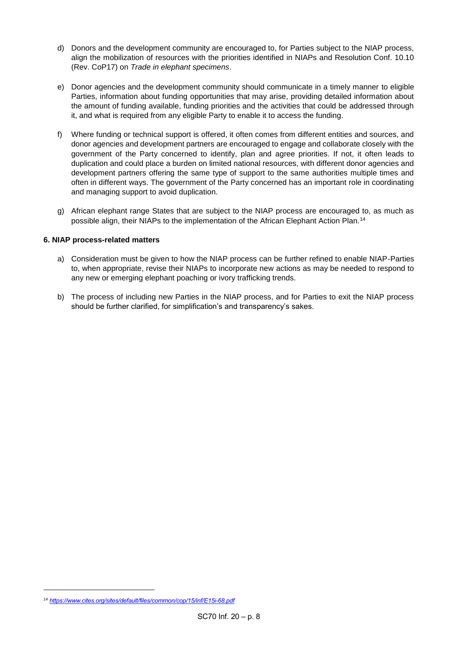- d) Donors and the development community are encouraged to, for Parties subject to the NIAP process, align the mobilization of resources with the priorities identified in NIAPs and Resolution Conf. 10.10 (Rev. CoP17) on *Trade in elephant specimens*.
- e) Donor agencies and the development community should communicate in a timely manner to eligible Parties, information about funding opportunities that may arise, providing detailed information about the amount of funding available, funding priorities and the activities that could be addressed through it, and what is required from any eligible Party to enable it to access the funding.
- f) Where funding or technical support is offered, it often comes from different entities and sources, and donor agencies and development partners are encouraged to engage and collaborate closely with the government of the Party concerned to identify, plan and agree priorities. If not, it often leads to duplication and could place a burden on limited national resources, with different donor agencies and development partners offering the same type of support to the same authorities multiple times and often in different ways. The government of the Party concerned has an important role in coordinating and managing support to avoid duplication.
- g) African elephant range States that are subject to the NIAP process are encouraged to, as much as possible align, their NIAPs to the implementation of the African Elephant Action Plan.<sup>14</sup>

#### **6. NIAP process-related matters**

- a) Consideration must be given to how the NIAP process can be further refined to enable NIAP-Parties to, when appropriate, revise their NIAPs to incorporate new actions as may be needed to respond to any new or emerging elephant poaching or ivory trafficking trends.
- b) The process of including new Parties in the NIAP process, and for Parties to exit the NIAP process should be further clarified, for simplification's and transparency's sakes.

*<sup>14</sup> <https://www.cites.org/sites/default/files/common/cop/15/inf/E15i-68.pdf>*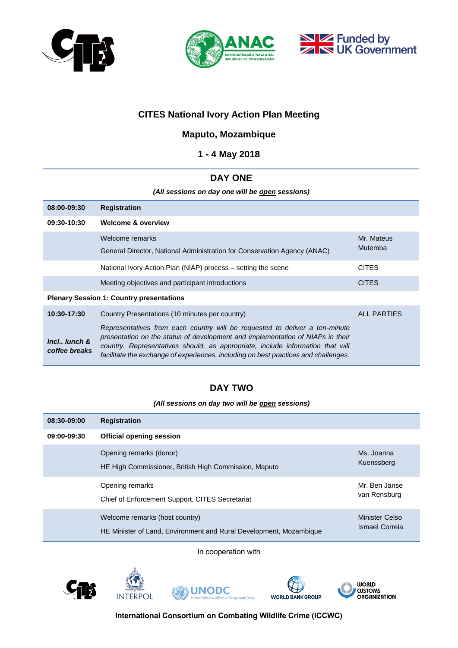





## **CITES National Ivory Action Plan Meeting**

## **Maputo, Mozambique**

### **1 - 4 May 2018**

### **DAY ONE**

*(All sessions on day one will be open sessions)*

| 08:00-09:30                                     | <b>Registration</b>                                                                                                                                                                                                                                                                                                                    |                       |  |  |  |
|-------------------------------------------------|----------------------------------------------------------------------------------------------------------------------------------------------------------------------------------------------------------------------------------------------------------------------------------------------------------------------------------------|-----------------------|--|--|--|
| 09:30-10:30                                     | <b>Welcome &amp; overview</b>                                                                                                                                                                                                                                                                                                          |                       |  |  |  |
|                                                 | Welcome remarks<br>General Director, National Administration for Conservation Agency (ANAC)                                                                                                                                                                                                                                            | Mr. Mateus<br>Mutemba |  |  |  |
|                                                 | National Ivory Action Plan (NIAP) process – setting the scene                                                                                                                                                                                                                                                                          | <b>CITES</b>          |  |  |  |
|                                                 | Meeting objectives and participant introductions                                                                                                                                                                                                                                                                                       | <b>CITES</b>          |  |  |  |
| <b>Plenary Session 1: Country presentations</b> |                                                                                                                                                                                                                                                                                                                                        |                       |  |  |  |
| 10:30-17:30                                     | Country Presentations (10 minutes per country)                                                                                                                                                                                                                                                                                         | <b>ALL PARTIES</b>    |  |  |  |
| Incl., lunch &<br>coffee breaks                 | Representatives from each country will be requested to deliver a ten-minute<br>presentation on the status of development and implementation of NIAPs in their<br>country. Representatives should, as appropriate, include information that will<br>facilitate the exchange of experiences, including on best practices and challenges. |                       |  |  |  |

## **DAY TWO**

*(All sessions on day two will be open sessions)*

| 08:30-09:00 | <b>Registration</b>                                                                                  |                                  |
|-------------|------------------------------------------------------------------------------------------------------|----------------------------------|
| 09:00-09:30 | <b>Official opening session</b>                                                                      |                                  |
|             | Opening remarks (donor)<br>HE High Commissioner, British High Commission, Maputo                     | Ms. Joanna<br>Kuenssberg         |
|             | Opening remarks<br>Chief of Enforcement Support, CITES Secretariat                                   | Mr. Ben Janse<br>van Rensburg    |
|             | Welcome remarks (host country)<br>HE Minister of Land, Environment and Rural Development, Mozambique | Minister Celso<br>Ismael Correia |

In cooperation with









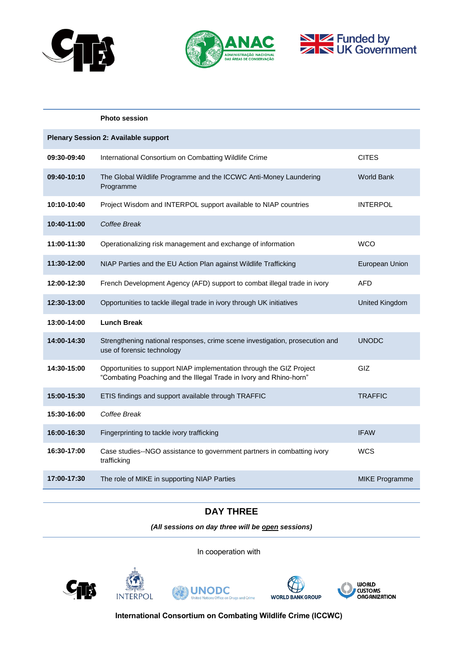





|                                             | <b>Photo session</b>                                                                                                                       |                       |  |  |  |
|---------------------------------------------|--------------------------------------------------------------------------------------------------------------------------------------------|-----------------------|--|--|--|
| <b>Plenary Session 2: Available support</b> |                                                                                                                                            |                       |  |  |  |
| 09:30-09:40                                 | International Consortium on Combatting Wildlife Crime                                                                                      | <b>CITES</b>          |  |  |  |
| 09:40-10:10                                 | The Global Wildlife Programme and the ICCWC Anti-Money Laundering<br>Programme                                                             | <b>World Bank</b>     |  |  |  |
| 10:10-10:40                                 | Project Wisdom and INTERPOL support available to NIAP countries                                                                            | <b>INTERPOL</b>       |  |  |  |
| 10:40-11:00                                 | Coffee Break                                                                                                                               |                       |  |  |  |
| 11:00-11:30                                 | Operationalizing risk management and exchange of information                                                                               | <b>WCO</b>            |  |  |  |
| 11:30-12:00                                 | NIAP Parties and the EU Action Plan against Wildlife Trafficking                                                                           | European Union        |  |  |  |
| 12:00-12:30                                 | French Development Agency (AFD) support to combat illegal trade in ivory                                                                   | <b>AFD</b>            |  |  |  |
| 12:30-13:00                                 | Opportunities to tackle illegal trade in ivory through UK initiatives                                                                      | United Kingdom        |  |  |  |
| 13:00-14:00                                 | <b>Lunch Break</b>                                                                                                                         |                       |  |  |  |
| 14:00-14:30                                 | Strengthening national responses, crime scene investigation, prosecution and<br>use of forensic technology                                 | UNODC                 |  |  |  |
| 14:30-15:00                                 | Opportunities to support NIAP implementation through the GIZ Project<br>"Combating Poaching and the Illegal Trade in Ivory and Rhino-horn" | GIZ                   |  |  |  |
| 15:00-15:30                                 | ETIS findings and support available through TRAFFIC                                                                                        | <b>TRAFFIC</b>        |  |  |  |
| 15:30-16:00                                 | Coffee Break                                                                                                                               |                       |  |  |  |
| 16:00-16:30                                 | Fingerprinting to tackle ivory trafficking                                                                                                 | <b>IFAW</b>           |  |  |  |
| 16:30-17:00                                 | Case studies--NGO assistance to government partners in combatting ivory<br>trafficking                                                     | <b>WCS</b>            |  |  |  |
| 17:00-17:30                                 | The role of MIKE in supporting NIAP Parties                                                                                                | <b>MIKE Programme</b> |  |  |  |

### **DAY THREE**

*(All sessions on day three will be open sessions)*

In cooperation with









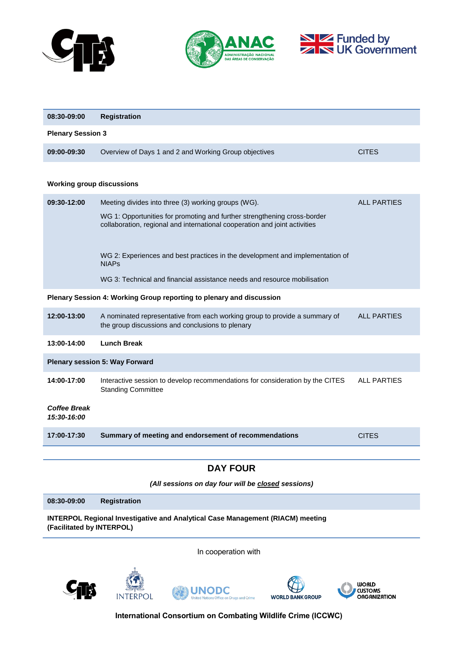





| 08:30-09:00                                                          | <b>Registration</b>                                                                                                                                    |                    |  |  |  |
|----------------------------------------------------------------------|--------------------------------------------------------------------------------------------------------------------------------------------------------|--------------------|--|--|--|
| <b>Plenary Session 3</b>                                             |                                                                                                                                                        |                    |  |  |  |
| 09:00-09:30                                                          | Overview of Days 1 and 2 and Working Group objectives                                                                                                  | <b>CITES</b>       |  |  |  |
|                                                                      |                                                                                                                                                        |                    |  |  |  |
| <b>Working group discussions</b>                                     |                                                                                                                                                        |                    |  |  |  |
| 09:30-12:00                                                          | Meeting divides into three (3) working groups (WG).                                                                                                    | <b>ALL PARTIES</b> |  |  |  |
|                                                                      | WG 1: Opportunities for promoting and further strengthening cross-border<br>collaboration, regional and international cooperation and joint activities |                    |  |  |  |
|                                                                      | WG 2: Experiences and best practices in the development and implementation of<br><b>NIAPs</b>                                                          |                    |  |  |  |
|                                                                      | WG 3: Technical and financial assistance needs and resource mobilisation                                                                               |                    |  |  |  |
| Plenary Session 4: Working Group reporting to plenary and discussion |                                                                                                                                                        |                    |  |  |  |
| 12:00-13:00                                                          | A nominated representative from each working group to provide a summary of<br>the group discussions and conclusions to plenary                         | <b>ALL PARTIES</b> |  |  |  |
| 13:00-14:00                                                          | <b>Lunch Break</b>                                                                                                                                     |                    |  |  |  |
| <b>Plenary session 5: Way Forward</b>                                |                                                                                                                                                        |                    |  |  |  |
| 14:00-17:00                                                          | Interactive session to develop recommendations for consideration by the CITES<br><b>Standing Committee</b>                                             | <b>ALL PARTIES</b> |  |  |  |
| <b>Coffee Break</b><br>15:30-16:00                                   |                                                                                                                                                        |                    |  |  |  |
| 17:00-17:30                                                          | Summary of meeting and endorsement of recommendations                                                                                                  | <b>CITES</b>       |  |  |  |
|                                                                      |                                                                                                                                                        |                    |  |  |  |
| <b>DAY FOUR</b>                                                      |                                                                                                                                                        |                    |  |  |  |

*(All sessions on day four will be closed sessions)*

**08:30-09:00 Registration INTERPOL Regional Investigative and Analytical Case Management (RIACM) meeting** 

**(Facilitated by INTERPOL)**

In cooperation with